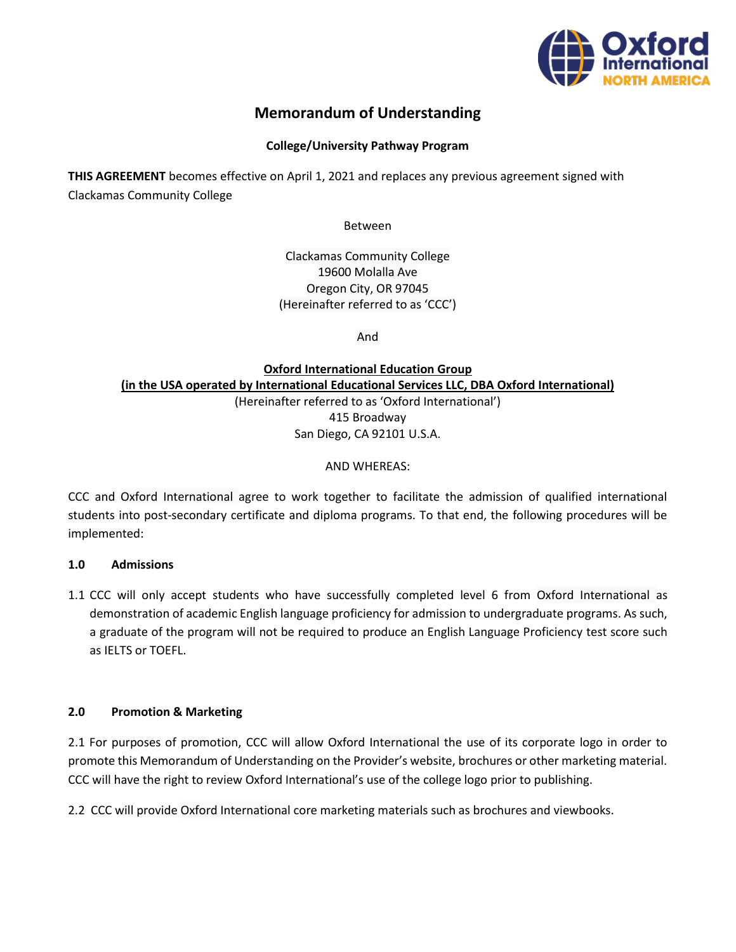

# **Memorandum of Understanding**

#### **College/University Pathway Program**

**THIS AGREEMENT** becomes effective on April 1, 2021 and replaces any previous agreement signed with Clackamas Community College

Between

Clackamas Community College 19600 Molalla Ave Oregon City, OR 97045 (Hereinafter referred to as 'CCC')

And

**Oxford International Education Group (in the USA operated by International Educational Services LLC, DBA Oxford International)** (Hereinafter referred to as 'Oxford International') 415 Broadway San Diego, CA 92101 U.S.A.

#### AND WHEREAS:

CCC and Oxford International agree to work together to facilitate the admission of qualified international students into post-secondary certificate and diploma programs. To that end, the following procedures will be implemented:

## **1.0 Admissions**

1.1 CCC will only accept students who have successfully completed level 6 from Oxford International as demonstration of academic English language proficiency for admission to undergraduate programs. As such, a graduate of the program will not be required to produce an English Language Proficiency test score such as IELTS or TOEFL.

## **2.0 Promotion & Marketing**

2.1 For purposes of promotion, CCC will allow Oxford International the use of its corporate logo in order to promote this Memorandum of Understanding on the Provider's website, brochures or other marketing material. CCC will have the right to review Oxford International's use of the college logo prior to publishing.

2.2 CCC will provide Oxford International core marketing materials such as brochures and viewbooks.